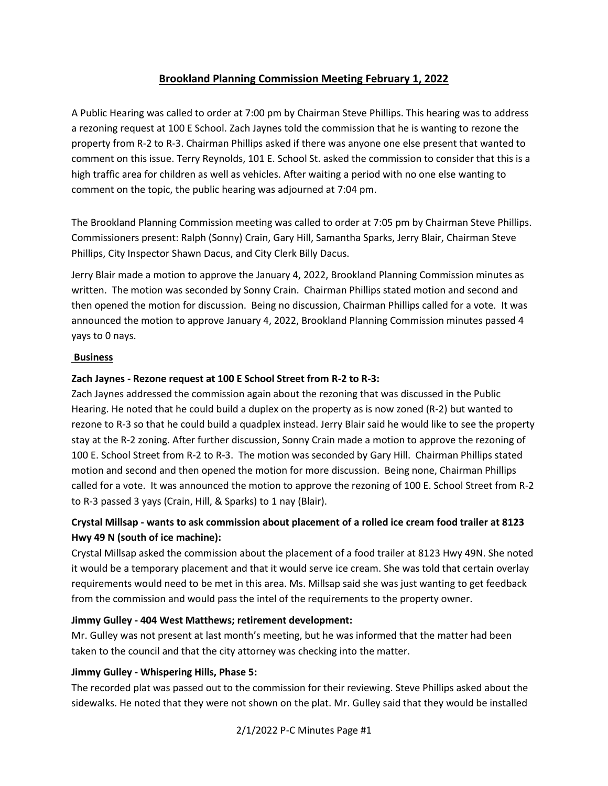# **Brookland Planning Commission Meeting February 1, 2022**

A Public Hearing was called to order at 7:00 pm by Chairman Steve Phillips. This hearing was to address a rezoning request at 100 E School. Zach Jaynes told the commission that he is wanting to rezone the property from R-2 to R-3. Chairman Phillips asked if there was anyone one else present that wanted to comment on this issue. Terry Reynolds, 101 E. School St. asked the commission to consider that this is a high traffic area for children as well as vehicles. After waiting a period with no one else wanting to comment on the topic, the public hearing was adjourned at 7:04 pm.

The Brookland Planning Commission meeting was called to order at 7:05 pm by Chairman Steve Phillips. Commissioners present: Ralph (Sonny) Crain, Gary Hill, Samantha Sparks, Jerry Blair, Chairman Steve Phillips, City Inspector Shawn Dacus, and City Clerk Billy Dacus.

Jerry Blair made a motion to approve the January 4, 2022, Brookland Planning Commission minutes as written. The motion was seconded by Sonny Crain. Chairman Phillips stated motion and second and then opened the motion for discussion. Being no discussion, Chairman Phillips called for a vote. It was announced the motion to approve January 4, 2022, Brookland Planning Commission minutes passed 4 yays to 0 nays.

### **Business**

### **Zach Jaynes - Rezone request at 100 E School Street from R-2 to R-3:**

Zach Jaynes addressed the commission again about the rezoning that was discussed in the Public Hearing. He noted that he could build a duplex on the property as is now zoned (R-2) but wanted to rezone to R-3 so that he could build a quadplex instead. Jerry Blair said he would like to see the property stay at the R-2 zoning. After further discussion, Sonny Crain made a motion to approve the rezoning of 100 E. School Street from R-2 to R-3. The motion was seconded by Gary Hill. Chairman Phillips stated motion and second and then opened the motion for more discussion. Being none, Chairman Phillips called for a vote. It was announced the motion to approve the rezoning of 100 E. School Street from R-2 to R-3 passed 3 yays (Crain, Hill, & Sparks) to 1 nay (Blair).

# **Crystal Millsap - wants to ask commission about placement of a rolled ice cream food trailer at 8123 Hwy 49 N (south of ice machine):**

Crystal Millsap asked the commission about the placement of a food trailer at 8123 Hwy 49N. She noted it would be a temporary placement and that it would serve ice cream. She was told that certain overlay requirements would need to be met in this area. Ms. Millsap said she was just wanting to get feedback from the commission and would pass the intel of the requirements to the property owner.

#### **Jimmy Gulley - 404 West Matthews; retirement development:**

Mr. Gulley was not present at last month's meeting, but he was informed that the matter had been taken to the council and that the city attorney was checking into the matter.

## **Jimmy Gulley - Whispering Hills, Phase 5:**

The recorded plat was passed out to the commission for their reviewing. Steve Phillips asked about the sidewalks. He noted that they were not shown on the plat. Mr. Gulley said that they would be installed